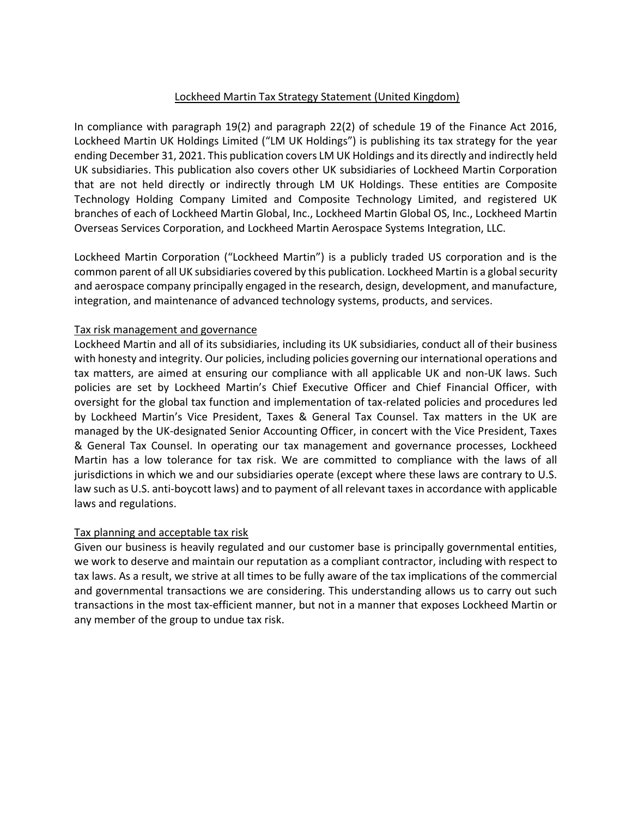## Lockheed Martin Tax Strategy Statement (United Kingdom)

In compliance with paragraph 19(2) and paragraph 22(2) of schedule 19 of the Finance Act 2016, Lockheed Martin UK Holdings Limited ("LM UK Holdings") is publishing its tax strategy for the year ending December 31, 2021. This publication covers LM UK Holdings and its directly and indirectly held UK subsidiaries. This publication also covers other UK subsidiaries of Lockheed Martin Corporation that are not held directly or indirectly through LM UK Holdings. These entities are Composite Technology Holding Company Limited and Composite Technology Limited, and registered UK branches of each of Lockheed Martin Global, Inc., Lockheed Martin Global OS, Inc., Lockheed Martin Overseas Services Corporation, and Lockheed Martin Aerospace Systems Integration, LLC.

Lockheed Martin Corporation ("Lockheed Martin") is a publicly traded US corporation and is the common parent of all UK subsidiaries covered by this publication. Lockheed Martin is a global security and aerospace company principally engaged in the research, design, development, and manufacture, integration, and maintenance of advanced technology systems, products, and services.

## Tax risk management and governance

Lockheed Martin and all of its subsidiaries, including its UK subsidiaries, conduct all of their business with honesty and integrity. Our policies, including policies governing our international operations and tax matters, are aimed at ensuring our compliance with all applicable UK and non-UK laws. Such policies are set by Lockheed Martin's Chief Executive Officer and Chief Financial Officer, with oversight for the global tax function and implementation of tax-related policies and procedures led by Lockheed Martin's Vice President, Taxes & General Tax Counsel. Tax matters in the UK are managed by the UK-designated Senior Accounting Officer, in concert with the Vice President, Taxes & General Tax Counsel. In operating our tax management and governance processes, Lockheed Martin has a low tolerance for tax risk. We are committed to compliance with the laws of all jurisdictions in which we and our subsidiaries operate (except where these laws are contrary to U.S. law such as U.S. anti-boycott laws) and to payment of all relevant taxes in accordance with applicable laws and regulations.

## Tax planning and acceptable tax risk

Given our business is heavily regulated and our customer base is principally governmental entities, we work to deserve and maintain our reputation as a compliant contractor, including with respect to tax laws. As a result, we strive at all times to be fully aware of the tax implications of the commercial and governmental transactions we are considering. This understanding allows us to carry out such transactions in the most tax-efficient manner, but not in a manner that exposes Lockheed Martin or any member of the group to undue tax risk.